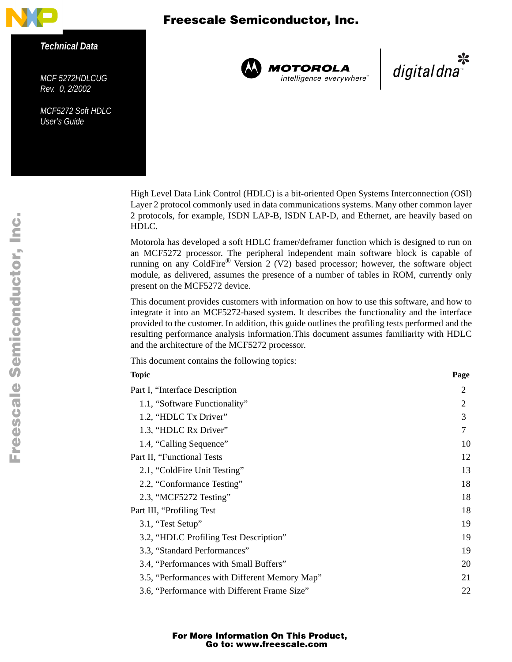

#### *Technical Data*

<span id="page-0-0"></span>*MCF 5272HDLCUG Rev. 0, 2/2002*

*MCF5272 Soft HDLC User's Guide*



**MOTOROLA**<br>intelligence everywhere<sup>®</sup>

\*<br>\* digital dna

High Level Data Link Control (HDLC) is a bit-oriented Open Systems Interconnection (OSI) Layer 2 protocol commonly used in data communications systems. Many other common layer 2 protocols, for example, ISDN LAP-B, ISDN LAP-D, and Ethernet, are heavily based on HDLC.

Motorola has developed a soft HDLC framer/deframer function which is designed to run on an MCF5272 processor. The peripheral independent main software block is capable of running on any ColdFire® Version 2 (V2) based processor; however, the software object module, as delivered, assumes the presence of a number of tables in ROM, currently only present on the MCF5272 device.

This document provides customers with information on how to use this software, and how to integrate it into an MCF5272-based system. It describes the functionality and the interface provided to the customer. In addition, this guide outlines the profiling tests performed and the resulting performance analysis information.This document assumes familiarity with HDLC and the architecture of the MCF5272 processor.

This document contains the following topics:

| <b>Topic</b>                                  | Page |
|-----------------------------------------------|------|
| Part I, "Interface Description"               | 2    |
| 1.1, "Software Functionality"                 | 2    |
| 1.2, "HDLC Tx Driver"                         | 3    |
| 1.3, "HDLC Rx Driver"                         | 7    |
| 1.4, "Calling Sequence"                       | 10   |
| Part II, "Functional Tests                    | 12   |
| 2.1, "ColdFire Unit Testing"                  | 13   |
| 2.2, "Conformance Testing"                    | 18   |
| 2.3, "MCF5272 Testing"                        | 18   |
| Part III, "Profiling Test"                    | 18   |
| 3.1, "Test Setup"                             | 19   |
| 3.2, "HDLC Profiling Test Description"        | 19   |
| 3.3, "Standard Performances"                  | 19   |
| 3.4, "Performances with Small Buffers"        | 20   |
| 3.5, "Performances with Different Memory Map" | 21   |
| 3.6, "Performance with Different Frame Size"  | 22   |
|                                               |      |

o n d u  $\mathbf 0$ t o

r, I

n

.<br>ق

## For More Information On This Product, Go to: www.freescale.com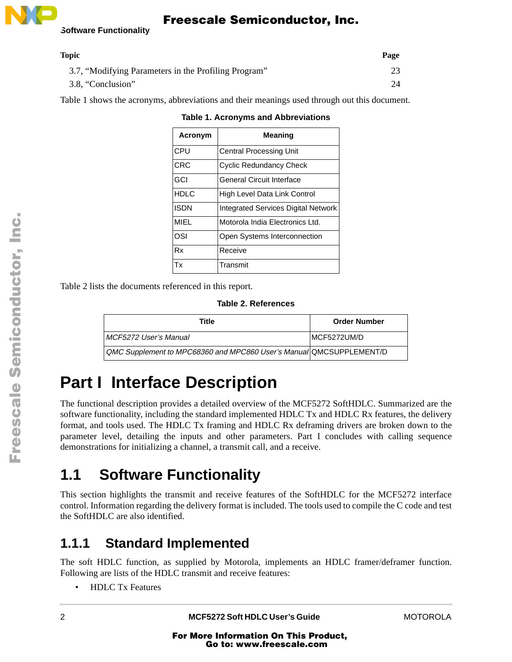

**Software Functionality** 

| Topic                                                | Page |
|------------------------------------------------------|------|
| 3.7, "Modifying Parameters in the Profiling Program" |      |
| 3.8. "Conclusion"                                    |      |

<span id="page-1-3"></span>[Table 1](#page-1-3) shows the acronyms, abbreviations and their meanings used through out this document.

| Acronym     | <b>Meaning</b>                             |
|-------------|--------------------------------------------|
| CPU         | <b>Central Processing Unit</b>             |
| <b>CRC</b>  | <b>Cyclic Redundancy Check</b>             |
| GCI         | General Circuit Interface                  |
| <b>HDLC</b> | High Level Data Link Control               |
| <b>ISDN</b> | <b>Integrated Services Digital Network</b> |
| MIFL        | Motorola India Electronics Ltd.            |
| OSI         | Open Systems Interconnection               |
| Rx          | Receive                                    |
| Tx          | Transmit                                   |

**Table 1. Acronyms and Abbreviations**

<span id="page-1-2"></span>[Table 2](#page-1-2) lists the documents referenced in this report.

**Table 2. References**

| Title                                                               | <b>Order Number</b> |
|---------------------------------------------------------------------|---------------------|
| MCF5272 User's Manual                                               | IMCF5272UM/D        |
| QMC Supplement to MPC68360 and MPC860 User's Manual QMCSUPPLEMENT/D |                     |

# <span id="page-1-1"></span>**Part I Interface Description**

The functional description provides a detailed overview of the MCF5272 SoftHDLC. Summarized are the software functionality, including the standard implemented HDLC Tx and HDLC Rx features, the delivery format, and tools used. The HDLC Tx framing and HDLC Rx deframing drivers are broken down to the parameter level, detailing the inputs and other parameters. Part I concludes with calling sequence demonstrations for initializing a channel, a transmit call, and a receive.

## <span id="page-1-0"></span>**1.1 Software Functionality**

This section highlights the transmit and receive features of the SoftHDLC for the MCF5272 interface control. Information regarding the delivery format is included. The tools used to compile the C code and test the SoftHDLC are also identified.

### **1.1.1 Standard Implemented**

The soft HDLC function, as supplied by Motorola, implements an HDLC framer/deframer function. Following are lists of the HDLC transmit and receive features:

• HDLC Tx Features

Fr $\bf \Phi$  $\bf \Phi$  $\boldsymbol{\theta}$  $\mathbf 0$ 

ale

 $\boldsymbol{g}$  $\bf \Phi$ 

mic

o n d u  $\mathbf 0$ t o

r, I

n

.<br>ق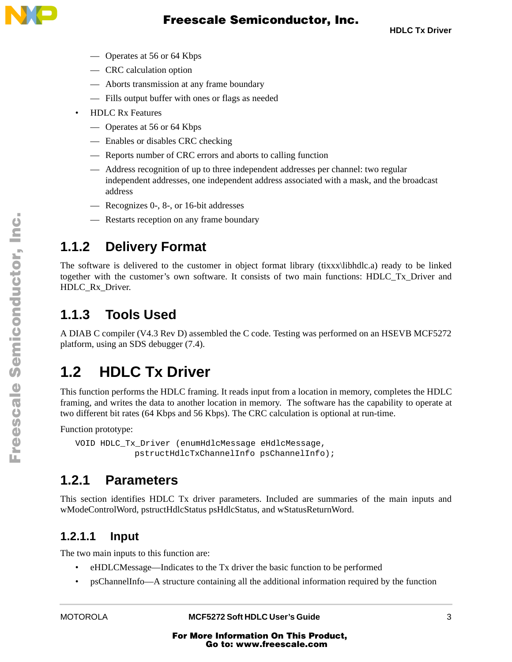

- Operates at 56 or 64 Kbps
- CRC calculation option
- Aborts transmission at any frame boundary
- Fills output buffer with ones or flags as needed
- HDLC Rx Features
	- Operates at 56 or 64 Kbps
	- Enables or disables CRC checking
	- Reports number of CRC errors and aborts to calling function
	- Address recognition of up to three independent addresses per channel: two regular independent addresses, one independent address associated with a mask, and the broadcast address
	- Recognizes 0-, 8-, or 16-bit addresses
	- Restarts reception on any frame boundary

### **1.1.2 Delivery Format**

The software is delivered to the customer in object format library (tixxx\libhdlc.a) ready to be linked together with the customer's own software. It consists of two main functions: HDLC\_Tx\_Driver and HDLC\_Rx\_Driver.

### **1.1.3 Tools Used**

A DIAB C compiler (V4.3 Rev D) assembled the C code. Testing was performed on an HSEVB MCF5272 platform, using an SDS debugger (7.4).

## <span id="page-2-0"></span>**1.2 HDLC Tx Driver**

This function performs the HDLC framing. It reads input from a location in memory, completes the HDLC framing, and writes the data to another location in memory. The software has the capability to operate at two different bit rates (64 Kbps and 56 Kbps). The CRC calculation is optional at run-time.

Function prototype:

VOID HDLC\_Tx\_Driver (enumHdlcMessage eHdlcMessage, pstructHdlcTxChannelInfo psChannelInfo);

### **1.2.1 Parameters**

This section identifies HDLC Tx driver parameters. Included are summaries of the main inputs and wModeControlWord, pstructHdlcStatus psHdlcStatus, and wStatusReturnWord.

#### **1.2.1.1 Input**

The two main inputs to this function are:

- eHDLCMessage—Indicates to the Tx driver the basic function to be performed
- psChannelInfo—A structure containing all the additional information required by the function

Fr $\bf \Phi$  $\bf \Phi$  $\boldsymbol{\theta}$  $\mathbf 0$ 

ale

 $\boldsymbol{g}$  $\bf \Phi$ 

mic

o n d u  $\mathbf 0$ t o

r, I

n

.<br>ق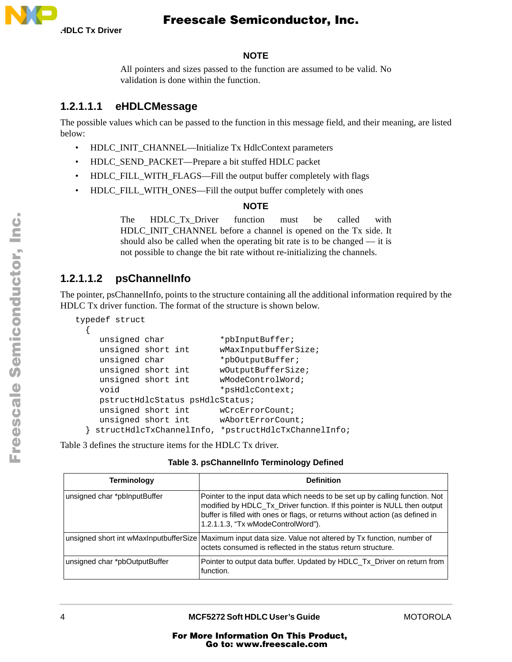

#### **NOTE**

All pointers and sizes passed to the function are assumed to be valid. No validation is done within the function.

#### **1.2.1.1.1 eHDLCMessage**

The possible values which can be passed to the function in this message field, and their meaning, are listed below:

- HDLC\_INIT\_CHANNEL—Initialize Tx HdlcContext parameters
- HDLC\_SEND\_PACKET—Prepare a bit stuffed HDLC packet
- HDLC\_FILL\_WITH\_FLAGS—Fill the output buffer completely with flags
- HDLC\_FILL\_WITH\_ONES—Fill the output buffer completely with ones

#### **NOTE**

The HDLC Tx Driver function must be called with HDLC\_INIT\_CHANNEL before a channel is opened on the Tx side. It should also be called when the operating bit rate is to be changed — it is not possible to change the bit rate without re-initializing the channels.

#### **1.2.1.1.2 psChannelInfo**

The pointer, psChannelInfo, points to the structure containing all the additional information required by the HDLC Tx driver function. The format of the structure is shown below.

```
typedef struct
 {
    unsigned char *pbInputBuffer;
    unsigned short int wMaxInputbufferSize;
    unsigned char *pbOutputBuffer;
    unsigned short int wOutputBufferSize;
    unsigned short int wModeControlWord;
    void *psHdlcContext;
    pstructHdlcStatus psHdlcStatus;
    unsigned short int wCrcErrorCount;
    unsigned short int wAbortErrorCount;
 } structHdlcTxChannelInfo, *pstructHdlcTxChannelInfo;
```
[Table 3](#page-3-0) defines the structure items for the HDLC Tx driver.

| Table 3. psChannelInfo Terminology Defined |  |
|--------------------------------------------|--|
|--------------------------------------------|--|

<span id="page-3-0"></span>

| <b>Terminology</b>            | <b>Definition</b>                                                                                                                                                                                                                                                              |
|-------------------------------|--------------------------------------------------------------------------------------------------------------------------------------------------------------------------------------------------------------------------------------------------------------------------------|
| unsigned char *pblnputBuffer  | Pointer to the input data which needs to be set up by calling function. Not<br>modified by HDLC_Tx_Driver function. If this pointer is NULL then output<br>buffer is filled with ones or flags, or returns without action (as defined in<br>1.2.1.1.3, "Tx wModeControlWord"). |
|                               | unsigned short int wMaxInputbufferSize   Maximum input data size. Value not altered by Tx function, number of<br>octets consumed is reflected in the status return structure.                                                                                                  |
| unsigned char *pbOutputBuffer | Pointer to output data buffer. Updated by HDLC Tx Driver on return from<br>function.                                                                                                                                                                                           |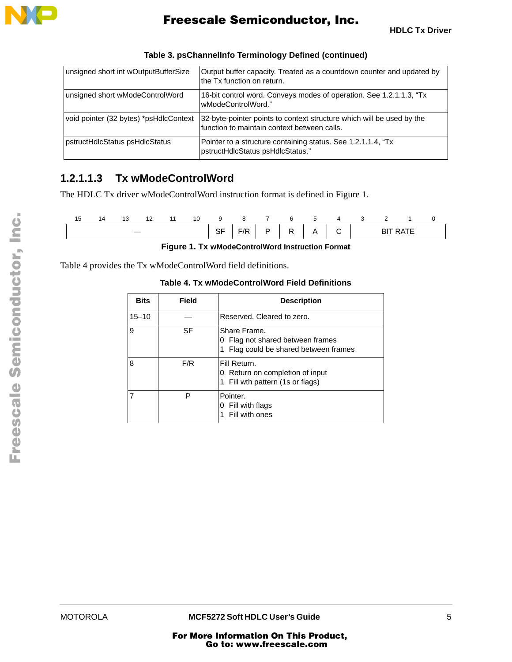

| unsigned short int wOutputBufferSize   | Output buffer capacity. Treated as a countdown counter and updated by<br>the Tx function on return.                  |
|----------------------------------------|----------------------------------------------------------------------------------------------------------------------|
| unsigned short wModeControlWord        | 16-bit control word. Conveys modes of operation. See 1.2.1.1.3, "Tx<br>wModeControlWord."                            |
| void pointer (32 bytes) *psHdlcContext | 32-byte-pointer points to context structure which will be used by the<br>function to maintain context between calls. |
| pstructHdlcStatus psHdlcStatus         | Pointer to a structure containing status. See 1.2.1.1.4, "Tx<br>pstructHdlcStatus psHdlcStatus."                     |

#### **Table 3. psChannelInfo Terminology Defined (continued)**

#### <span id="page-4-0"></span>**1.2.1.1.3 Tx wModeControlWord**

The HDLC Tx driver wModeControlWord instruction format is defined in [Figure 1](#page-4-1).

|  | 13<br>__ |  | 10 | 9                   |     |          |   | $\mathbf b$ | $\mathbf 4$                   |             |      |  |
|--|----------|--|----|---------------------|-----|----------|---|-------------|-------------------------------|-------------|------|--|
|  |          |  |    | $\sim$ $\sim$<br>ιب | T/R | <b>D</b> | R | A           | $\mathbf{C}$ and $\mathbf{C}$ | - RU<br>- - | ATF! |  |

#### **Figure 1. Tx wModeControlWord Instruction Format**

<span id="page-4-2"></span><span id="page-4-1"></span>[Table 4](#page-4-2) provides the Tx wModeControlWord field definitions.

#### **Table 4. Tx wModeControlWord Field Definitions**

| <b>Bits</b> | Field | <b>Description</b>                                                                      |
|-------------|-------|-----------------------------------------------------------------------------------------|
| $15 - 10$   |       | Reserved. Cleared to zero.                                                              |
| 9           | SF    | Share Frame.<br>0 Flag not shared between frames<br>Flag could be shared between frames |
| 8           | F/R   | Fill Return.<br>0 Return on completion of input<br>Fill wth pattern (1s or flags)       |
|             | Р     | Pointer.<br>Fill with flags<br>Fill with ones                                           |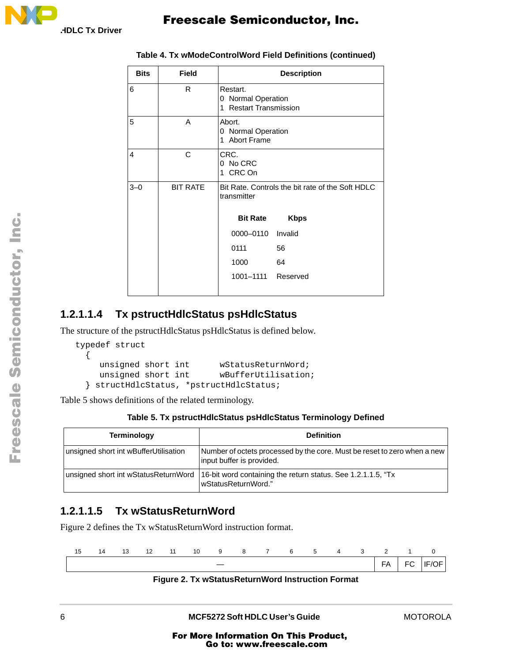

| <b>Bits</b>    | <b>Field</b>    | <b>Description</b>                                       |                                                  |  |  |
|----------------|-----------------|----------------------------------------------------------|--------------------------------------------------|--|--|
| 6              | R               | Restart.<br>0 Normal Operation<br>1 Restart Transmission |                                                  |  |  |
| 5              | A               | Abort.<br>0 Normal Operation<br>1 Abort Frame            |                                                  |  |  |
| $\overline{4}$ | C               | CRC.<br>0 No CRC<br>CRC On<br>1                          |                                                  |  |  |
| $3 - 0$        | <b>BIT RATE</b> | transmitter                                              | Bit Rate. Controls the bit rate of the Soft HDLC |  |  |
|                |                 | <b>Bit Rate</b>                                          | <b>Kbps</b>                                      |  |  |
|                |                 | 0000-0110                                                | Invalid                                          |  |  |
|                |                 | 0111                                                     | 56                                               |  |  |
|                |                 | 1000                                                     | 64                                               |  |  |
|                |                 | 1001-1111 Reserved                                       |                                                  |  |  |

#### **Table 4. Tx wModeControlWord Field Definitions (continued)**

#### <span id="page-5-0"></span>**1.2.1.1.4 Tx pstructHdlcStatus psHdlcStatus**

The structure of the pstructHdlcStatus psHdlcStatus is defined below.

```
typedef struct
  {
    unsigned short int wStatusReturnWord;
    unsigned short int wBufferUtilisation;
 } structHdlcStatus, *pstructHdlcStatus;
```
[Table 5](#page-5-1) shows definitions of the related terminology.

**Table 5. Tx pstructHdlcStatus psHdlcStatus Terminology Defined**

<span id="page-5-1"></span>

| <b>Terminology</b>                    | <b>Definition</b>                                                                                     |
|---------------------------------------|-------------------------------------------------------------------------------------------------------|
| unsigned short int wBufferUtilisation | Number of octets processed by the core. Must be reset to zero when a new<br>input buffer is provided. |
| unsigned short int wStatusReturnWord  | 16-bit word containing the return status. See 1.2.1.1.5, "Tx<br>wStatusReturnWord."                   |

#### <span id="page-5-2"></span>**1.2.1.1.5 Tx wStatusReturnWord**

[Figure 2](#page-5-3) defines the Tx wStatusReturnWord instruction format.

<span id="page-5-3"></span>

**Figure 2. Tx wStatusReturnWord Instruction Format**

6 **MCF5272 Soft HDLC User's Guide** MOTOROLA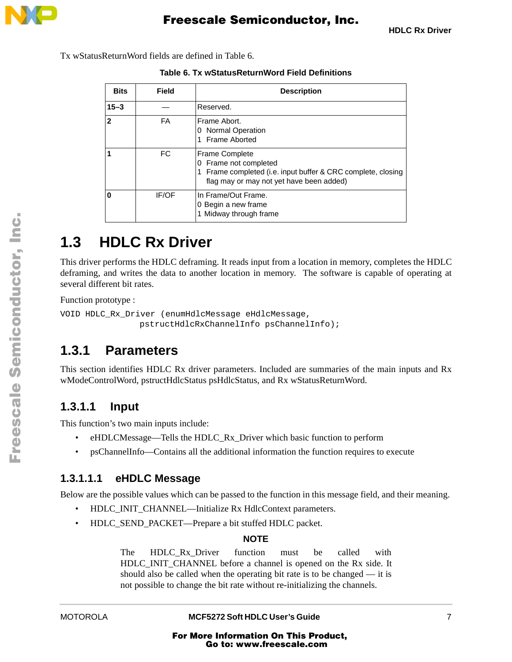

<span id="page-6-1"></span>Tx wStatusReturnWord fields are defined in [Table 6](#page-6-1).

**Table 6. Tx wStatusReturnWord Field Definitions**

| <b>Bits</b>    | <b>Field</b> | <b>Description</b>                                                                                                                                         |
|----------------|--------------|------------------------------------------------------------------------------------------------------------------------------------------------------------|
| $15 - 3$       |              | Reserved.                                                                                                                                                  |
| $\overline{2}$ | <b>FA</b>    | Frame Abort.<br>0 Normal Operation<br>1 Frame Aborted                                                                                                      |
| 1              | FC.          | <b>Frame Complete</b><br>0 Frame not completed<br>1 Frame completed (i.e. input buffer & CRC complete, closing<br>flag may or may not yet have been added) |
| 0              | IF/OF        | In Frame/Out Frame.<br>0 Begin a new frame<br>1 Midway through frame                                                                                       |

## <span id="page-6-0"></span>**1.3 HDLC Rx Driver**

This driver performs the HDLC deframing. It reads input from a location in memory, completes the HDLC deframing, and writes the data to another location in memory. The software is capable of operating at several different bit rates.

Function prototype :

```
VOID HDLC_Rx_Driver (enumHdlcMessage eHdlcMessage,
                 pstructHdlcRxChannelInfo psChannelInfo);
```
### **1.3.1 Parameters**

This section identifies HDLC Rx driver parameters. Included are summaries of the main inputs and Rx wModeControlWord, pstructHdlcStatus psHdlcStatus, and Rx wStatusReturnWord.

#### **1.3.1.1 Input**

This function's two main inputs include:

- eHDLCMessage—Tells the HDLC\_Rx\_Driver which basic function to perform
- psChannelInfo—Contains all the additional information the function requires to execute

#### **1.3.1.1.1 eHDLC Message**

Below are the possible values which can be passed to the function in this message field, and their meaning.

- HDLC\_INIT\_CHANNEL—Initialize Rx HdlcContext parameters.
- HDLC\_SEND\_PACKET—Prepare a bit stuffed HDLC packet.

#### **NOTE**

The HDLC\_Rx\_Driver function must be called with HDLC\_INIT\_CHANNEL before a channel is opened on the Rx side. It should also be called when the operating bit rate is to be changed — it is not possible to change the bit rate without re-initializing the channels.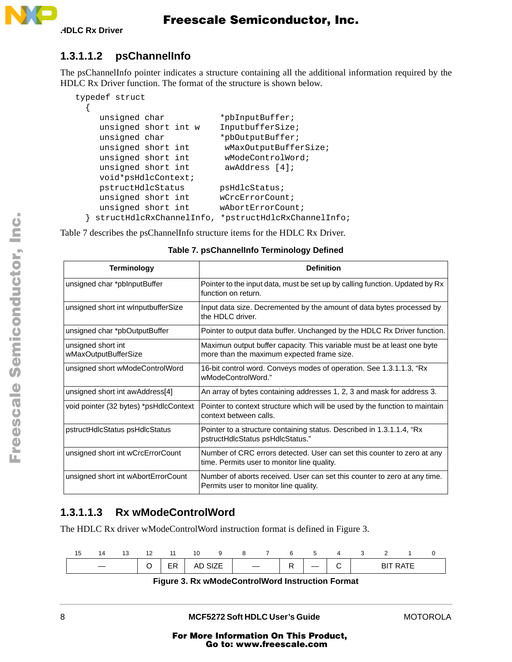

#### **1.3.1.1.2 psChannelInfo**

The psChannelInfo pointer indicates a structure containing all the additional information required by the HDLC Rx Driver function. The format of the structure is shown below.

| typedef struct           |                            |
|--------------------------|----------------------------|
|                          |                            |
| unsigned char            | *pbInputBuffer;            |
| unsigned short int w     | InputbufferSize;           |
| unsigned char            | *pb0utputBuffer;           |
| unsigned short int       | wMaxOutputBufferSize;      |
| unsigned short int       | wModeControlWord;          |
| unsigned short int       | awAddress [4];             |
| void*psHdlcContext;      |                            |
| pstructHdlcStatus        | psHdlcStatus;              |
| unsigned short int       | wCrcErrorCount;            |
| unsigned short int       | wAbortErrorCount;          |
| structHdlcRxChannelInfo, | *pstructHdlcRxChannelInfo; |

[Table 7](#page-7-0) describes the psChannelInfo structure items for the HDLC Rx Driver.

<span id="page-7-0"></span>

| <b>Terminology</b>                         | <b>Definition</b>                                                                                                      |
|--------------------------------------------|------------------------------------------------------------------------------------------------------------------------|
| unsigned char *pblnputBuffer               | Pointer to the input data, must be set up by calling function. Updated by Rx<br>function on return.                    |
| unsigned short int winputbufferSize        | Input data size. Decremented by the amount of data bytes processed by<br>the HDLC driver.                              |
| unsigned char *pbOutputBuffer              | Pointer to output data buffer. Unchanged by the HDLC Rx Driver function.                                               |
| unsigned short int<br>wMaxOutputBufferSize | Maximun output buffer capacity. This variable must be at least one byte<br>more than the maximum expected frame size.  |
| unsigned short wModeControlWord            | 16-bit control word. Conveys modes of operation. See 1.3.1.1.3, "Rx<br>wModeControlWord."                              |
| unsigned short int awAddress[4]            | An array of bytes containing addresses 1, 2, 3 and mask for address 3.                                                 |
| void pointer (32 bytes) *psHdlcContext     | Pointer to context structure which will be used by the function to maintain<br>context between calls.                  |
| pstructHdIcStatus psHdIcStatus             | Pointer to a structure containing status. Described in 1.3.1.1.4, "Rx<br>pstructHdlcStatus psHdlcStatus."              |
| unsigned short int wCrcErrorCount          | Number of CRC errors detected. User can set this counter to zero at any<br>time. Permits user to monitor line quality. |
| unsigned short int wAbortErrorCount        | Number of aborts received. User can set this counter to zero at any time.<br>Permits user to monitor line quality.     |

#### **Table 7. psChannelInfo Terminology Defined**

#### <span id="page-7-1"></span>**1.3.1.1.3 Rx wModeControlWord**

The HDLC Rx driver wModeControlWord instruction format is defined in [Figure 3](#page-7-2).

<span id="page-7-2"></span>

| $\overline{ }$<br>՝ | ıд | ن ا | $\overline{A}$ |                 |     |             |  |         |   |  |  |
|---------------------|----|-----|----------------|-----------------|-----|-------------|--|---------|---|--|--|
|                     |    |     | ๛              | <u>rn</u><br>-- | AL. | <b>SIZE</b> |  | -<br>., | ⌒ |  |  |

**Figure 3. Rx wModeControlWord Instruction Format**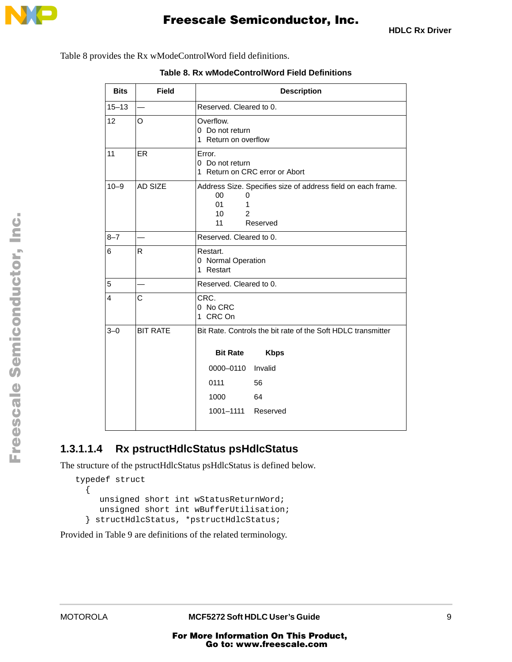

<span id="page-8-1"></span>[Table 8](#page-8-1) provides the Rx wModeControlWord field definitions.

| Table 8. Rx wModeControlWord Field Definitions |  |
|------------------------------------------------|--|
|------------------------------------------------|--|

| <b>Bits</b> | <b>Field</b>    | <b>Description</b>                                                                                              |                                                              |  |  |  |  |  |
|-------------|-----------------|-----------------------------------------------------------------------------------------------------------------|--------------------------------------------------------------|--|--|--|--|--|
| $15 - 13$   |                 | Reserved. Cleared to 0.                                                                                         |                                                              |  |  |  |  |  |
| 12          | O               | Overflow.<br>0 Do not return<br>1 Return on overflow                                                            |                                                              |  |  |  |  |  |
| 11          | ER              | Error.<br>0 Do not return<br>1 Return on CRC error or Abort                                                     |                                                              |  |  |  |  |  |
| $10 - 9$    | <b>AD SIZE</b>  | Address Size. Specifies size of address field on each frame.<br>00<br>0<br>01<br>1<br>10<br>2<br>11<br>Reserved |                                                              |  |  |  |  |  |
| $8 - 7$     |                 | Reserved. Cleared to 0.                                                                                         |                                                              |  |  |  |  |  |
| 6           | R               | Restart.<br>0 Normal Operation<br>1 Restart                                                                     |                                                              |  |  |  |  |  |
| 5           |                 | Reserved. Cleared to 0.                                                                                         |                                                              |  |  |  |  |  |
| 4           | C               | CRC.<br>0 No CRC<br>1 CRC On                                                                                    |                                                              |  |  |  |  |  |
| $3 - 0$     | <b>BIT RATE</b> |                                                                                                                 | Bit Rate. Controls the bit rate of the Soft HDLC transmitter |  |  |  |  |  |
|             |                 | <b>Bit Rate</b>                                                                                                 | <b>Kbps</b>                                                  |  |  |  |  |  |
|             |                 | 0000-0110                                                                                                       | Invalid                                                      |  |  |  |  |  |
|             |                 | 0111                                                                                                            | 56                                                           |  |  |  |  |  |
|             |                 | 1000                                                                                                            | 64                                                           |  |  |  |  |  |
|             |                 | 1001-1111                                                                                                       | Reserved                                                     |  |  |  |  |  |

#### <span id="page-8-0"></span>**1.3.1.1.4 Rx pstructHdlcStatus psHdlcStatus**

The structure of the pstructHdlcStatus psHdlcStatus is defined below.

```
typedef struct
  {
    unsigned short int wStatusReturnWord;
    unsigned short int wBufferUtilisation;
  } structHdlcStatus, *pstructHdlcStatus;
```
Provided in [Table 9](#page-9-1) are definitions of the related terminology.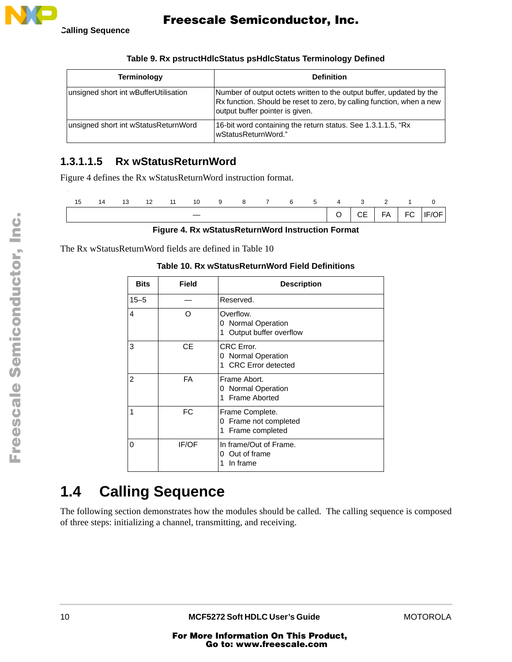<span id="page-9-1"></span>

| <b>Terminology</b>                    | <b>Definition</b>                                                                                                                                                                |
|---------------------------------------|----------------------------------------------------------------------------------------------------------------------------------------------------------------------------------|
| unsigned short int wBufferUtilisation | Number of output octets written to the output buffer, updated by the<br>Rx function. Should be reset to zero, by calling function, when a new<br>output buffer pointer is given. |
| unsigned short int wStatusReturnWord  | 16-bit word containing the return status. See 1.3.1.1.5, "Rx<br>wStatusReturnWord."                                                                                              |

#### <span id="page-9-2"></span>**1.3.1.1.5 Rx wStatusReturnWord**

[Figure 4](#page-9-3) defines the Rx wStatusReturnWord instruction format.



**Figure 4. Rx wStatusReturnWord Instruction Format**

<span id="page-9-4"></span><span id="page-9-3"></span>The Rx wStatusReturnWord fields are defined in [Table 10](#page-9-4)

| <b>Bits</b> | <b>Field</b> | <b>Description</b>                                               |
|-------------|--------------|------------------------------------------------------------------|
| $15 - 5$    |              | Reserved.                                                        |
| 4           | ∩            | Overflow.<br>0 Normal Operation<br>Output buffer overflow<br>1   |
| 3           | CЕ           | CRC Error.<br>0 Normal Operation<br>1 CRC Error detected         |
| 2           | <b>FA</b>    | Frame Abort.<br>0 Normal Operation<br>1 Frame Aborted            |
| 1           | FC           | Frame Complete.<br>0 Frame not completed<br>Frame completed<br>1 |
| 0           | IF/OF        | In frame/Out of Frame.<br>0 Out of frame<br>In frame<br>1        |

## <span id="page-9-0"></span>**1.4 Calling Sequence**

The following section demonstrates how the modules should be called. The calling sequence is composed of three steps: initializing a channel, transmitting, and receiving.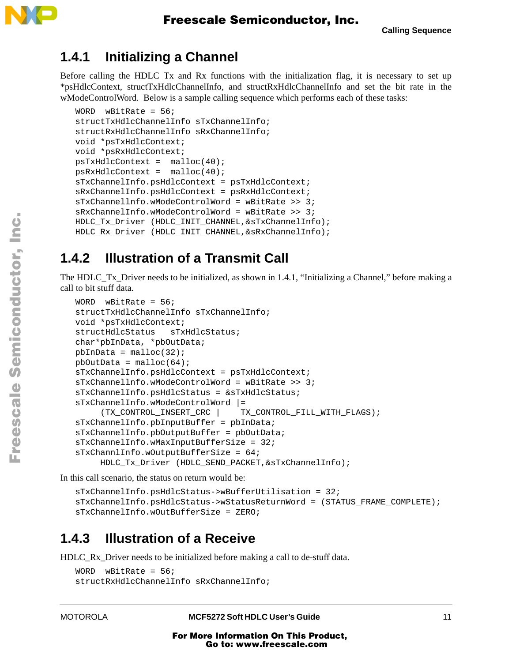

#### <span id="page-10-0"></span>**1.4.1 Initializing a Channel**

Before calling the HDLC Tx and Rx functions with the initialization flag, it is necessary to set up \*psHdlcContext, structTxHdlcChannelInfo, and structRxHdlcChannelInfo and set the bit rate in the wModeControlWord. Below is a sample calling sequence which performs each of these tasks:

```
WORD WBI weit Rate = 56;
structTxHdlcChannelInfo sTxChannelInfo;
structRxHdlcChannelInfo sRxChannelInfo;
void *psTxHdlcContext;
void *psRxHdlcContext;
psTxHdlcContext = mailloc(40);psRxHdlcContext = <math>malloc(40)</math>;sTxChannelInfo.psHdlcContext = psTxHdlcContext;
sRxChannelInfo.psHdlcContext = psRxHdlcContext;
sTxChannellnfo.wModeControlWord = wBitRate >> 3;
sRxChannelInfo.wModeControlWord = wBitRate >> 3; 
HDLC_Tx_Driver (HDLC_INIT_CHANNEL,&sTxChannelInfo);
HDLC Rx Driver (HDLC INIT CHANNEL, &sRxChannelInfo);
```
### **1.4.2 Illustration of a Transmit Call**

The HDLC\_Tx\_Driver needs to be initialized, as shown in [1.4.1, "Initializing a Channel](#page-10-0)," before making a call to bit stuff data.

```
WORD WBitRate = 56;structTxHdlcChannelInfo sTxChannelInfo;
void *psTxHdlcContext;
structHdlcStatus sTxHdlcStatus;
char*pbInData, *pbOutData;
pbInData = malloc(32);pbOutData = malloc(64);sTxChannelInfo.psHdlcContext = psTxHdlcContext;
sTxChannellnfo.wModeControlWord = wBitRate >> 3;
sTxChannelInfo.psHdlcStatus = &sTxHdlcStatus;
sTxChannelInfo.wModeControlWord |=
     (TX_CONTROL_INSERT_CRC | TX_CONTROL_FILL_WITH_FLAGS);
sTxChannelInfo.pbInputBuffer = pbInData;
sTxChannelInfo.pbOutputBuffer = pbOutData;
sTxChannelInfo.wMaxInputBufferSize = 32;
sTxChannlInfo.wOutputBufferSize = 64; 
     HDLC Tx Driver (HDLC SEND PACKET, &sTxChannelInfo);
```
In this call scenario, the status on return would be:

```
sTxChannelInfo.psHdlcStatus->wBufferUtilisation = 32;
sTxChannelInfo.psHdlcStatus->wStatusReturnWord = (STATUS_FRAME_COMPLETE);
sTxChannelInfo.wOutBufferSize = ZERO;
```
#### **1.4.3 Illustration of a Receive**

HDLC\_Rx\_Driver needs to be initialized before making a call to de-stuff data.

```
WORD wBitRate = 56;
structRxHdlcChannelInfo sRxChannelInfo;
```
Fr $\bf \Phi$  $\bf \Phi$  $\boldsymbol{\theta}$  $\mathbf 0$ 

ale

 $\boldsymbol{g}$  $\bf \Phi$ 

mic

o n d u  $\mathbf 0$ t o

r, I

n

.<br>ق

MOTOROLA **MCF5272 Soft HDLC User's Guide** 11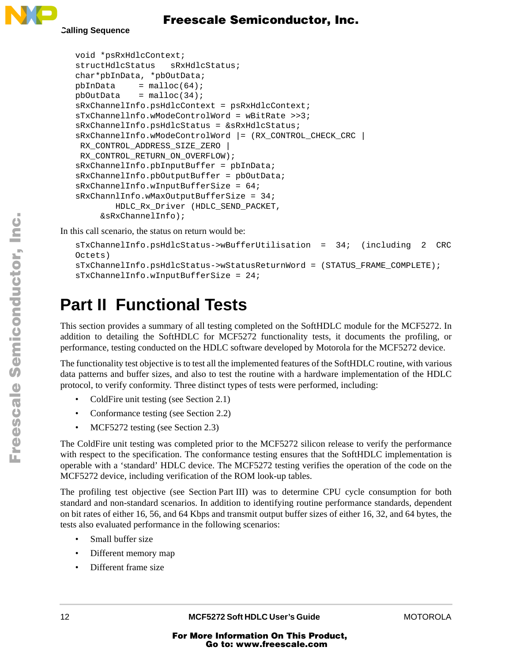

#### **Calling Sequence**

```
void *psRxHdlcContext;
structHdlcStatus sRxHdlcStatus;
char*pbInData, *pbOutData;
pbInData = malloc(64);pbOutData = malloc(34);sRxChannelInfo.psHdlcContext = psRxHdlcContext;
sTxChannellnfo.wModeControlWord = wBitRate >>3; 
sRxChannelInfo.psHdlcStatus = &sRxHdlcStatus;
sRxChannelInfo.wModeControlWord |= (RX_CONTROL_CHECK_CRC |
 RX_CONTROL_ADDRESS_SIZE_ZERO |
 RX_CONTROL_RETURN_ON_OVERFLOW);
sRxChannelInfo.pbInputBuffer = pbInData;
sRxChannelInfo.pbOutputBuffer = pbOutData;
sRxChannelInfo.wInputBufferSize = 64;
sRxChannlInfo.wMaxOutputBufferSize = 34;
       HDLC_Rx_Driver (HDLC_SEND_PACKET,
     &sRxChannelInfo);
```
In this call scenario, the status on return would be:

```
sTxChannelInfo.psHdlcStatus->wBufferUtilisation = 34; (including 2 CRC
Octets)
sTxChannelInfo.psHdlcStatus->wStatusReturnWord = (STATUS FRAME COMPLETE);
sTxChannelInfo.wInputBufferSize = 24;
```
## <span id="page-11-0"></span>**Part II Functional Tests**

This section provides a summary of all testing completed on the SoftHDLC module for the MCF5272. In addition to detailing the SoftHDLC for MCF5272 functionality tests, it documents the profiling, or performance, testing conducted on the HDLC software developed by Motorola for the MCF5272 device.

The functionality test objective is to test all the implemented features of the SoftHDLC routine, with various data patterns and buffer sizes, and also to test the routine with a hardware implementation of the HDLC protocol, to verify conformity. Three distinct types of tests were performed, including:

- ColdFire unit testing (see [Section 2.1\)](#page-12-0)
- Conformance testing (see [Section 2.2\)](#page-17-0)
- MCF5272 testing (see [Section 2.3](#page-17-1))

The ColdFire unit testing was completed prior to the MCF5272 silicon release to verify the performance with respect to the specification. The conformance testing ensures that the SoftHDLC implementation is operable with a 'standard' HDLC device. The MCF5272 testing verifies the operation of the code on the MCF5272 device, including verification of the ROM look-up tables.

The profiling test objective (see [Section Part III](#page-17-2)) was to determine CPU cycle consumption for both standard and non-standard scenarios. In addition to identifying routine performance standards, dependent on bit rates of either 16, 56, and 64 Kbps and transmit output buffer sizes of either 16, 32, and 64 bytes, the tests also evaluated performance in the following scenarios:

- Small buffer size
- Different memory map
- Different frame size

o n d u  $\mathbf 0$ t o

r, I

n

.<br>ق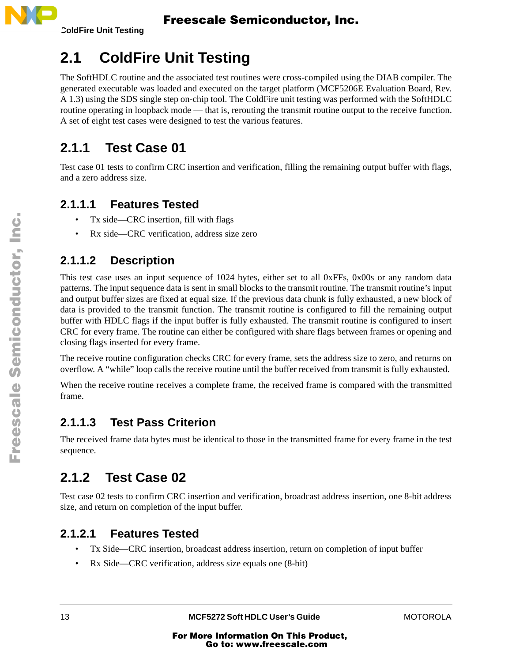

**ColdFire Unit Testing** 

## <span id="page-12-0"></span>**2.1 ColdFire Unit Testing**

The SoftHDLC routine and the associated test routines were cross-compiled using the DIAB compiler. The generated executable was loaded and executed on the target platform (MCF5206E Evaluation Board, Rev. A 1.3) using the SDS single step on-chip tool. The ColdFire unit testing was performed with the SoftHDLC routine operating in loopback mode — that is, rerouting the transmit routine output to the receive function. A set of eight test cases were designed to test the various features.

### **2.1.1 Test Case 01**

Test case 01 tests to confirm CRC insertion and verification, filling the remaining output buffer with flags, and a zero address size.

#### **2.1.1.1 Features Tested**

- Tx side—CRC insertion, fill with flags
- Rx side—CRC verification, address size zero

#### **2.1.1.2 Description**

This test case uses an input sequence of 1024 bytes, either set to all 0xFFs, 0x00s or any random data patterns. The input sequence data is sent in small blocks to the transmit routine. The transmit routine's input and output buffer sizes are fixed at equal size. If the previous data chunk is fully exhausted, a new block of data is provided to the transmit function. The transmit routine is configured to fill the remaining output buffer with HDLC flags if the input buffer is fully exhausted. The transmit routine is configured to insert CRC for every frame. The routine can either be configured with share flags between frames or opening and closing flags inserted for every frame.

The receive routine configuration checks CRC for every frame, sets the address size to zero, and returns on overflow. A "while" loop calls the receive routine until the buffer received from transmit is fully exhausted.

When the receive routine receives a complete frame, the received frame is compared with the transmitted frame.

#### **2.1.1.3 Test Pass Criterion**

The received frame data bytes must be identical to those in the transmitted frame for every frame in the test sequence.

### **2.1.2 Test Case 02**

Test case 02 tests to confirm CRC insertion and verification, broadcast address insertion, one 8-bit address size, and return on completion of the input buffer.

#### **2.1.2.1 Features Tested**

- Tx Side—CRC insertion, broadcast address insertion, return on completion of input buffer
- Rx Side—CRC verification, address size equals one (8-bit)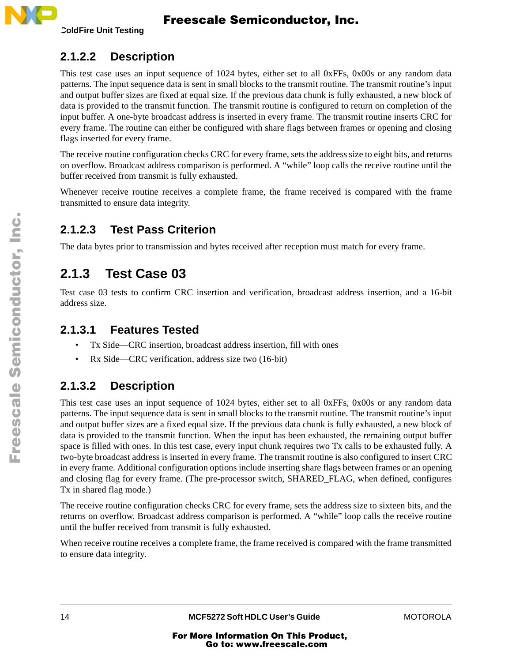

#### **ColdFire Unit Testing**

#### **2.1.2.2 Description**

This test case uses an input sequence of 1024 bytes, either set to all 0xFFs, 0x00s or any random data patterns. The input sequence data is sent in small blocks to the transmit routine. The transmit routine's input and output buffer sizes are fixed at equal size. If the previous data chunk is fully exhausted, a new block of data is provided to the transmit function. The transmit routine is configured to return on completion of the input buffer. A one-byte broadcast address is inserted in every frame. The transmit routine inserts CRC for every frame. The routine can either be configured with share flags between frames or opening and closing flags inserted for every frame.

The receive routine configuration checks CRC for every frame, sets the address size to eight bits, and returns on overflow. Broadcast address comparison is performed. A "while" loop calls the receive routine until the buffer received from transmit is fully exhausted.

Whenever receive routine receives a complete frame, the frame received is compared with the frame transmitted to ensure data integrity.

#### **2.1.2.3 Test Pass Criterion**

The data bytes prior to transmission and bytes received after reception must match for every frame.

### **2.1.3 Test Case 03**

Test case 03 tests to confirm CRC insertion and verification, broadcast address insertion, and a 16-bit address size.

#### **2.1.3.1 Features Tested**

- Tx Side—CRC insertion, broadcast address insertion, fill with ones
- Rx Side—CRC verification, address size two (16-bit)

#### **2.1.3.2 Description**

This test case uses an input sequence of 1024 bytes, either set to all 0xFFs, 0x00s or any random data patterns. The input sequence data is sent in small blocks to the transmit routine. The transmit routine's input and output buffer sizes are a fixed equal size. If the previous data chunk is fully exhausted, a new block of data is provided to the transmit function. When the input has been exhausted, the remaining output buffer space is filled with ones. In this test case, every input chunk requires two Tx calls to be exhausted fully. A two-byte broadcast address is inserted in every frame. The transmit routine is also configured to insert CRC in every frame. Additional configuration options include inserting share flags between frames or an opening and closing flag for every frame. (The pre-processor switch, SHARED\_FLAG, when defined, configures Tx in shared flag mode.)

The receive routine configuration checks CRC for every frame, sets the address size to sixteen bits, and the returns on overflow. Broadcast address comparison is performed. A "while" loop calls the receive routine until the buffer received from transmit is fully exhausted.

When receive routine receives a complete frame, the frame received is compared with the frame transmitted to ensure data integrity.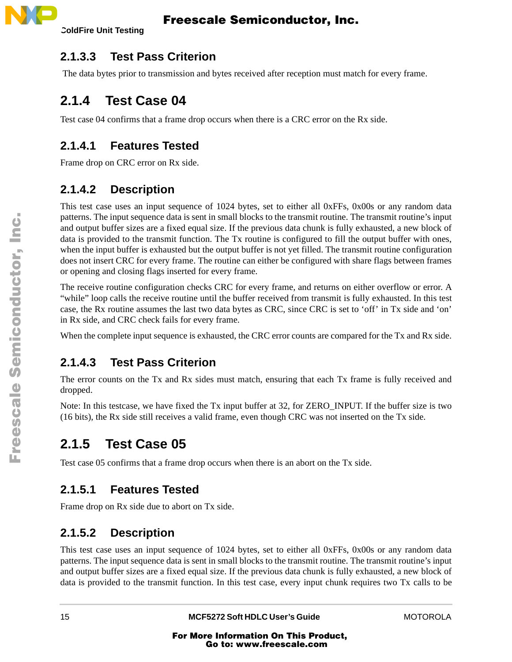

**ColdFire Unit Testing** 

#### **2.1.3.3 Test Pass Criterion**

The data bytes prior to transmission and bytes received after reception must match for every frame.

### **2.1.4 Test Case 04**

Test case 04 confirms that a frame drop occurs when there is a CRC error on the Rx side.

#### **2.1.4.1 Features Tested**

Frame drop on CRC error on Rx side.

#### **2.1.4.2 Description**

This test case uses an input sequence of 1024 bytes, set to either all 0xFFs, 0x00s or any random data patterns. The input sequence data is sent in small blocks to the transmit routine. The transmit routine's input and output buffer sizes are a fixed equal size. If the previous data chunk is fully exhausted, a new block of data is provided to the transmit function. The Tx routine is configured to fill the output buffer with ones, when the input buffer is exhausted but the output buffer is not yet filled. The transmit routine configuration does not insert CRC for every frame. The routine can either be configured with share flags between frames or opening and closing flags inserted for every frame.

The receive routine configuration checks CRC for every frame, and returns on either overflow or error. A "while" loop calls the receive routine until the buffer received from transmit is fully exhausted. In this test case, the Rx routine assumes the last two data bytes as CRC, since CRC is set to 'off' in Tx side and 'on' in Rx side, and CRC check fails for every frame.

When the complete input sequence is exhausted, the CRC error counts are compared for the Tx and Rx side.

#### **2.1.4.3 Test Pass Criterion**

The error counts on the Tx and Rx sides must match, ensuring that each Tx frame is fully received and dropped.

Note: In this testcase, we have fixed the Tx input buffer at 32, for ZERO\_INPUT. If the buffer size is two (16 bits), the Rx side still receives a valid frame, even though CRC was not inserted on the Tx side.

### **2.1.5 Test Case 05**

Test case 05 confirms that a frame drop occurs when there is an abort on the Tx side.

#### **2.1.5.1 Features Tested**

Frame drop on Rx side due to abort on Tx side.

#### **2.1.5.2 Description**

This test case uses an input sequence of 1024 bytes, set to either all 0xFFs, 0x00s or any random data patterns. The input sequence data is sent in small blocks to the transmit routine. The transmit routine's input and output buffer sizes are a fixed equal size. If the previous data chunk is fully exhausted, a new block of data is provided to the transmit function. In this test case, every input chunk requires two Tx calls to be

15 **MCF5272 Soft HDLC User's Guide** MOTOROLA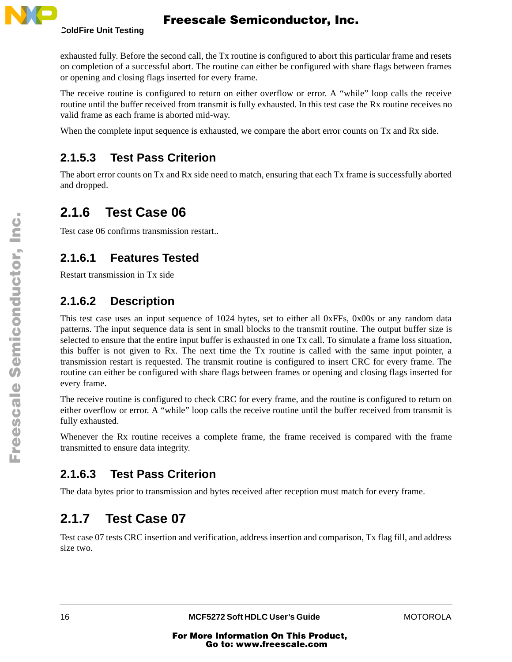#### **ColdFire Unit Testing**

### Freescale Semiconductor, Inc.

exhausted fully. Before the second call, the Tx routine is configured to abort this particular frame and resets on completion of a successful abort. The routine can either be configured with share flags between frames or opening and closing flags inserted for every frame.

The receive routine is configured to return on either overflow or error. A "while" loop calls the receive routine until the buffer received from transmit is fully exhausted. In this test case the Rx routine receives no valid frame as each frame is aborted mid-way.

When the complete input sequence is exhausted, we compare the abort error counts on Tx and Rx side.

#### **2.1.5.3 Test Pass Criterion**

The abort error counts on Tx and Rx side need to match, ensuring that each Tx frame is successfully aborted and dropped.

#### **2.1.6 Test Case 06**

Test case 06 confirms transmission restart..

#### **2.1.6.1 Features Tested**

Restart transmission in Tx side

#### **2.1.6.2 Description**

This test case uses an input sequence of 1024 bytes, set to either all 0xFFs, 0x00s or any random data patterns. The input sequence data is sent in small blocks to the transmit routine. The output buffer size is selected to ensure that the entire input buffer is exhausted in one Tx call. To simulate a frame loss situation, this buffer is not given to Rx. The next time the Tx routine is called with the same input pointer, a transmission restart is requested. The transmit routine is configured to insert CRC for every frame. The routine can either be configured with share flags between frames or opening and closing flags inserted for every frame.

The receive routine is configured to check CRC for every frame, and the routine is configured to return on either overflow or error. A "while" loop calls the receive routine until the buffer received from transmit is fully exhausted.

Whenever the Rx routine receives a complete frame, the frame received is compared with the frame transmitted to ensure data integrity.

#### **2.1.6.3 Test Pass Criterion**

The data bytes prior to transmission and bytes received after reception must match for every frame.

### **2.1.7 Test Case 07**

Test case 07 tests CRC insertion and verification, address insertion and comparison, Tx flag fill, and address size two.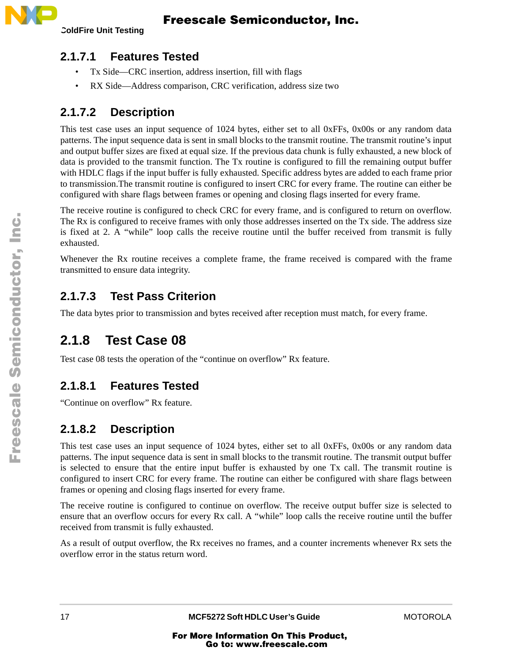**ColdFire Unit Testing** 

#### <span id="page-16-0"></span>**2.1.7.1 Features Tested**

- Tx Side—CRC insertion, address insertion, fill with flags
- RX Side—Address comparison, CRC verification, address size two

#### <span id="page-16-1"></span>**2.1.7.2 Description**

This test case uses an input sequence of 1024 bytes, either set to all 0xFFs, 0x00s or any random data patterns. The input sequence data is sent in small blocks to the transmit routine. The transmit routine's input and output buffer sizes are fixed at equal size. If the previous data chunk is fully exhausted, a new block of data is provided to the transmit function. The Tx routine is configured to fill the remaining output buffer with HDLC flags if the input buffer is fully exhausted. Specific address bytes are added to each frame prior to transmission.The transmit routine is configured to insert CRC for every frame. The routine can either be configured with share flags between frames or opening and closing flags inserted for every frame.

The receive routine is configured to check CRC for every frame, and is configured to return on overflow. The Rx is configured to receive frames with only those addresses inserted on the Tx side. The address size is fixed at 2. A "while" loop calls the receive routine until the buffer received from transmit is fully exhausted.

Whenever the Rx routine receives a complete frame, the frame received is compared with the frame transmitted to ensure data integrity.

#### <span id="page-16-2"></span>**2.1.7.3 Test Pass Criterion**

The data bytes prior to transmission and bytes received after reception must match, for every frame.

### **2.1.8 Test Case 08**

Test case 08 tests the operation of the "continue on overflow" Rx feature.

#### **2.1.8.1 Features Tested**

"Continue on overflow" Rx feature.

#### **2.1.8.2 Description**

This test case uses an input sequence of 1024 bytes, either set to all 0xFFs, 0x00s or any random data patterns. The input sequence data is sent in small blocks to the transmit routine. The transmit output buffer is selected to ensure that the entire input buffer is exhausted by one Tx call. The transmit routine is configured to insert CRC for every frame. The routine can either be configured with share flags between frames or opening and closing flags inserted for every frame.

The receive routine is configured to continue on overflow. The receive output buffer size is selected to ensure that an overflow occurs for every Rx call. A "while" loop calls the receive routine until the buffer received from transmit is fully exhausted.

As a result of output overflow, the Rx receives no frames, and a counter increments whenever Rx sets the overflow error in the status return word.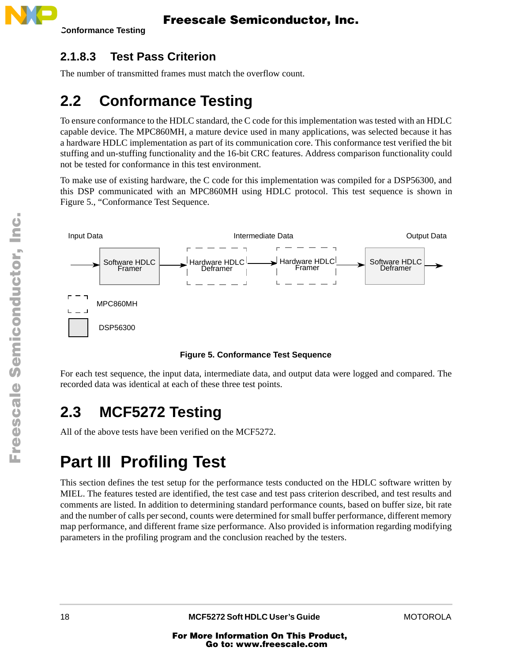

**Conformance Testing** 

### **2.1.8.3 Test Pass Criterion**

The number of transmitted frames must match the overflow count.

## <span id="page-17-0"></span>**2.2 Conformance Testing**

To ensure conformance to the HDLC standard, the C code for this implementation was tested with an HDLC capable device. The MPC860MH, a mature device used in many applications, was selected because it has a hardware HDLC implementation as part of its communication core. This conformance test verified the bit stuffing and un-stuffing functionality and the 16-bit CRC features. Address comparison functionality could not be tested for conformance in this test environment.

To make use of existing hardware, the C code for this implementation was compiled for a DSP56300, and this DSP communicated with an MPC860MH using HDLC protocol. This test sequence is shown in [Figure 5., "Conformance Test Sequence.](#page-17-3)



#### **Figure 5. Conformance Test Sequence**

<span id="page-17-3"></span>For each test sequence, the input data, intermediate data, and output data were logged and compared. The recorded data was identical at each of these three test points.

## <span id="page-17-1"></span>**2.3 MCF5272 Testing**

All of the above tests have been verified on the MCF5272.

## <span id="page-17-2"></span>**Part III Profiling Test**

This section defines the test setup for the performance tests conducted on the HDLC software written by MIEL. The features tested are identified, the test case and test pass criterion described, and test results and comments are listed. In addition to determining standard performance counts, based on buffer size, bit rate and the number of calls per second, counts were determined for small buffer performance, different memory map performance, and different frame size performance. Also provided is information regarding modifying parameters in the profiling program and the conclusion reached by the testers.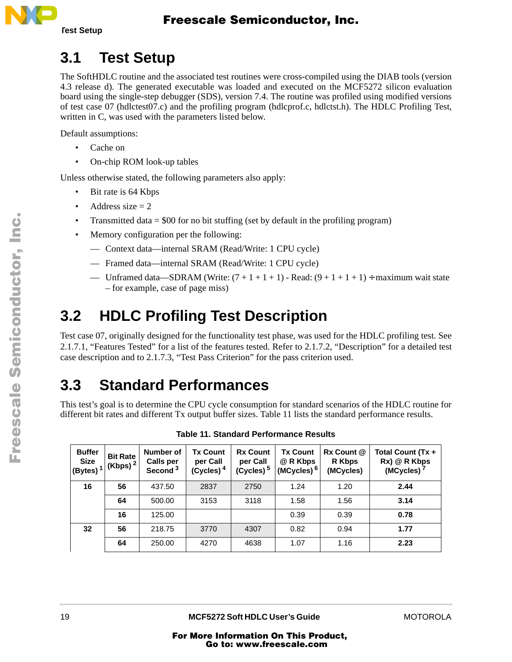



## <span id="page-18-0"></span>**3.1 Test Setup**

The SoftHDLC routine and the associated test routines were cross-compiled using the DIAB tools (version 4.3 release d). The generated executable was loaded and executed on the MCF5272 silicon evaluation board using the single-step debugger (SDS), version 7.4. The routine was profiled using modified versions of test case 07 (hdlctest07.c) and the profiling program (hdlcprof.c, hdlctst.h). The HDLC Profiling Test, written in C, was used with the parameters listed below.

Default assumptions:

- Cache on
- On-chip ROM look-up tables

Unless otherwise stated, the following parameters also apply:

- Bit rate is 64 Kbps
- Address size  $= 2$
- Transmitted data  $\equiv$  \$00 for no bit stuffing (set by default in the profiling program)
- Memory configuration per the following:
	- Context data—internal SRAM (Read/Write: 1 CPU cycle)
	- Framed data—internal SRAM (Read/Write: 1 CPU cycle)
	- Unframed data—SDRAM (Write:  $(7 + 1 + 1 + 1)$  Read:  $(9 + 1 + 1 + 1)$  ÷ maximum wait state – for example, case of page miss)

## <span id="page-18-1"></span>**3.2 HDLC Profiling Test Description**

Test case 07, originally designed for the functionality test phase, was used for the HDLC profiling test. See [2.1.7.1, "Features Tested](#page-16-0)" for a list of the features tested. Refer to [2.1.7.2, "Description](#page-16-1)" for a detailed test case description and to [2.1.7.3, "Test Pass Criterion"](#page-16-2) for the pass criterion used.

## <span id="page-18-2"></span>**3.3 Standard Performances**

This test's goal is to determine the CPU cycle consumption for standard scenarios of the HDLC routine for different bit rates and different Tx output buffer sizes. [Table 11](#page-18-3) lists the standard performance results.

<span id="page-18-3"></span>

| <b>Buffer</b><br>Size<br>(Bytes) $1$ | <b>Bit Rate</b><br>$(Kbps)^2$ | Number of<br><b>Calls per</b><br>Second <sup>3</sup> | <b>Tx Count</b><br>per Call<br>(Cycles) $4$ | <b>Rx Count</b><br>per Call<br>(Cycles) <sup>5</sup> | <b>Tx Count</b><br>@ R Kbps<br>(MCycles) $6$ | Rx Count @<br>R Kbps<br>(MCycles) | Total Count (Tx +<br>Rx) @ R Kbps<br>(MCycles) $7$ |
|--------------------------------------|-------------------------------|------------------------------------------------------|---------------------------------------------|------------------------------------------------------|----------------------------------------------|-----------------------------------|----------------------------------------------------|
| 16                                   | 56                            | 437.50                                               | 2837                                        | 2750                                                 | 1.24                                         | 1.20                              | 2.44                                               |
|                                      | 64                            | 500.00                                               | 3153                                        | 3118                                                 | 1.58                                         | 1.56                              | 3.14                                               |
|                                      | 16                            | 125.00                                               |                                             |                                                      | 0.39                                         | 0.39                              | 0.78                                               |
| 32                                   | 56                            | 218.75                                               | 3770                                        | 4307                                                 | 0.82                                         | 0.94                              | 1.77                                               |
|                                      | 64                            | 250.00                                               | 4270                                        | 4638                                                 | 1.07                                         | 1.16                              | 2.23                                               |

**Table 11. Standard Performance Results**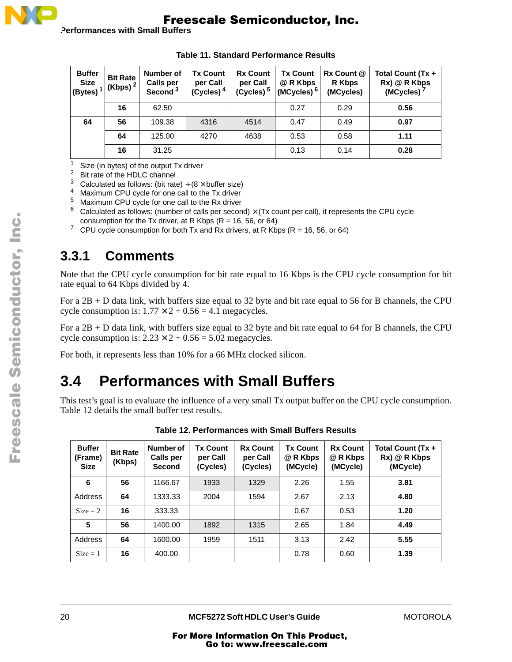**16** 62.50 0.27 0.29 **0.56 64 56** 109.38 4316 4514 0.47 0.49 **0.97 64** 125.00 4270 4638 0.53 0.58 **1.11 16** 31.25 0.13 0.14 **0.28 Buffer Size (Bytes)<sup>1</sup> Bit Rate (Kbps)<sup>2</sup> Number of Calls per Second<sup>3</sup> Tx Count per Call (Cycles) 4 Rx Count per Call (Cycles)<sup>5</sup> Tx Count @ R Kbps (MCycles)<sup>6</sup> Rx Count @ R Kbps (MCycles) Total Count (Tx + Rx) @ R Kbps (MCycles)<sup>7</sup>**

#### **Table 11. Standard Performance Results**

<sup>1</sup> Size (in bytes) of the output Tx driver  $\frac{2}{5}$  Bit rate of the HDLC shannel

<sup>2</sup> Bit rate of the HDLC channel

Calculated as follows: (bit rate)  $\div$  (8  $\times$  buffer size)

Maximum CPU cycle for one call to the Tx driver

<sup>5</sup> Maximum CPU cycle for one call to the Rx driver<br> $\frac{6}{2}$  Calculated as follows: (pumber of calls per secon

Calculated as follows: (number of calls per second)  $\times$  (Tx count per call), it represents the CPU cycle consumption for the Tx driver, at R Kbps  $(R = 16, 56, or 64)$ 

 $\frac{7}{2}$  CPU cycle consumption for both Tx and Rx drivers, at R Kbps (R = 16, 56, or 64)

#### **3.3.1 Comments**

Note that the CPU cycle consumption for bit rate equal to 16 Kbps is the CPU cycle consumption for bit rate equal to 64 Kbps divided by 4.

For a 2B + D data link, with buffers size equal to 32 byte and bit rate equal to 56 for B channels, the CPU cycle consumption is:  $1.77 \times 2 + 0.56 = 4.1$  megacycles.

For a 2B + D data link, with buffers size equal to 32 byte and bit rate equal to 64 for B channels, the CPU cycle consumption is:  $2.23 \times 2 + 0.56 = 5.02$  megacycles.

For both, it represents less than 10% for a 66 MHz clocked silicon.

## <span id="page-19-0"></span>**3.4 Performances with Small Buffers**

This test's goal is to evaluate the influence of a very small Tx output buffer on the CPU cycle consumption. [Table 12](#page-19-1) details the small buffer test results.

<span id="page-19-1"></span>

| <b>Buffer</b><br>(Frame)<br><b>Size</b> | <b>Bit Rate</b><br>(Kbps) | Number of<br>Calls per<br><b>Second</b> | <b>Tx Count</b><br>per Call<br>(Cycles) | <b>Rx Count</b><br>per Call<br>(Cycles) | <b>Tx Count</b><br>@ R Kbps<br>(MCycle) | <b>Rx Count</b><br>@ R Kbps<br>(MCycle) | Total Count (Tx +<br>$Rx)$ @ R Kbps<br>(MCycle) |
|-----------------------------------------|---------------------------|-----------------------------------------|-----------------------------------------|-----------------------------------------|-----------------------------------------|-----------------------------------------|-------------------------------------------------|
| 6                                       | 56                        | 1166.67                                 | 1933                                    | 1329                                    | 2.26                                    | 1.55                                    | 3.81                                            |
| Address                                 | 64                        | 1333.33                                 | 2004                                    | 1594                                    | 2.67                                    | 2.13                                    | 4.80                                            |
| $Size = 2$                              | 16                        | 333.33                                  |                                         |                                         | 0.67                                    | 0.53                                    | 1.20                                            |
| 5                                       | 56                        | 1400.00                                 | 1892                                    | 1315                                    | 2.65                                    | 1.84                                    | 4.49                                            |
| Address                                 | 64                        | 1600.00                                 | 1959                                    | 1511                                    | 3.13                                    | 2.42                                    | 5.55                                            |
| $Size = 1$                              | 16                        | 400.00                                  |                                         |                                         | 0.78                                    | 0.60                                    | 1.39                                            |

**Table 12. Performances with Small Buffers Results**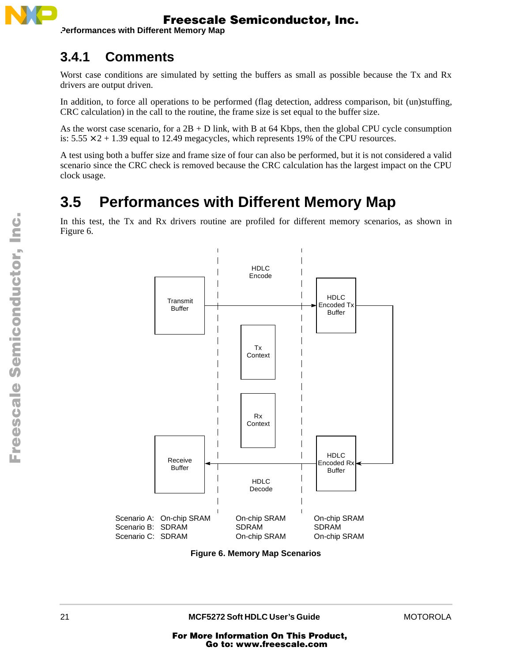**Performances with Different Memory Map** 

### **3.4.1 Comments**

Worst case conditions are simulated by setting the buffers as small as possible because the Tx and Rx drivers are output driven.

In addition, to force all operations to be performed (flag detection, address comparison, bit (un)stuffing, CRC calculation) in the call to the routine, the frame size is set equal to the buffer size.

As the worst case scenario, for a  $2B + D$  link, with B at 64 Kbps, then the global CPU cycle consumption is:  $5.55 \times 2 + 1.39$  equal to 12.49 megacycles, which represents 19% of the CPU resources.

A test using both a buffer size and frame size of four can also be performed, but it is not considered a valid scenario since the CRC check is removed because the CRC calculation has the largest impact on the CPU clock usage.

## <span id="page-20-0"></span>**3.5 Performances with Different Memory Map**

In this test, the Tx and Rx drivers routine are profiled for different memory scenarios, as shown in [Figure 6.](#page-20-1)



<span id="page-20-1"></span>**Figure 6. Memory Map Scenarios**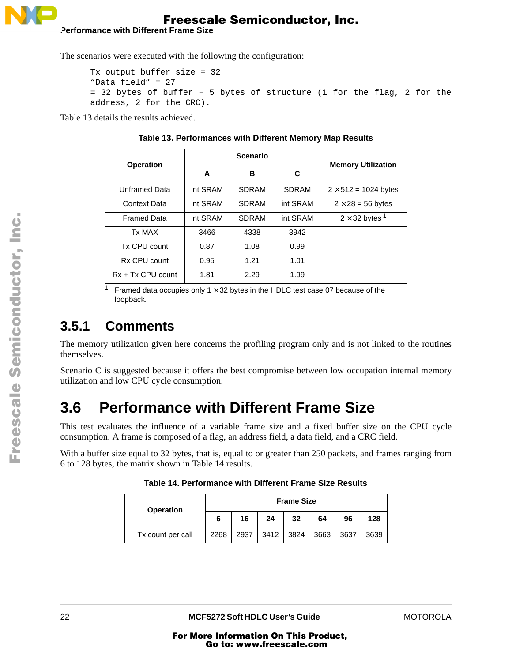

The scenarios were executed with the following the configuration:

```
Tx output buffer size = 32
"Data field" = 27
= 32 bytes of buffer – 5 bytes of structure (1 for the flag, 2 for the
address, 2 for the CRC).
```
<span id="page-21-1"></span>[Table 13](#page-21-1) details the results achieved.

| <b>Operation</b>     |          | <b>Scenario</b> | <b>Memory Utilization</b> |                             |
|----------------------|----------|-----------------|---------------------------|-----------------------------|
|                      | A        | в               | C                         |                             |
| <b>Unframed Data</b> | int SRAM | <b>SDRAM</b>    | <b>SDRAM</b>              | $2 \times 512 = 1024$ bytes |
| <b>Context Data</b>  | int SRAM | <b>SDRAM</b>    | int SRAM                  | $2 \times 28 = 56$ bytes    |
| <b>Framed Data</b>   | int SRAM | <b>SDRAM</b>    | int SRAM                  | $2 \times 32$ bytes $^1$    |
| Tx MAX               | 3466     | 4338            | 3942                      |                             |
| Tx CPU count         | 0.87     | 1.08            | 0.99                      |                             |
| Rx CPU count         | 0.95     | 1.21            | 1.01                      |                             |
| $Rx + Tx$ CPU count  | 1.81     | 2.29            | 1.99                      |                             |

| Table 13. Performances with Different Memory Map Results |  |  |
|----------------------------------------------------------|--|--|
|----------------------------------------------------------|--|--|

Framed data occupies only 1  $\times$  32 bytes in the HDLC test case 07 because of the loopback.

### **3.5.1 Comments**

The memory utilization given here concerns the profiling program only and is not linked to the routines themselves.

Scenario C is suggested because it offers the best compromise between low occupation internal memory utilization and low CPU cycle consumption.

## <span id="page-21-0"></span>**3.6 Performance with Different Frame Size**

This test evaluates the influence of a variable frame size and a fixed buffer size on the CPU cycle consumption. A frame is composed of a flag, an address field, a data field, and a CRC field.

<span id="page-21-2"></span>With a buffer size equal to 32 bytes, that is, equal to or greater than 250 packets, and frames ranging from 6 to 128 bytes, the matrix shown in [Table 14](#page-21-2) results.

| <b>Operation</b>  | <b>Frame Size</b> |      |      |      |      |      |      |
|-------------------|-------------------|------|------|------|------|------|------|
|                   |                   | 16   | 24   | 32   | 64   | 96   | 128  |
| Tx count per call | 2268              | 2937 | 3412 | 3824 | 3663 | 3637 | 3639 |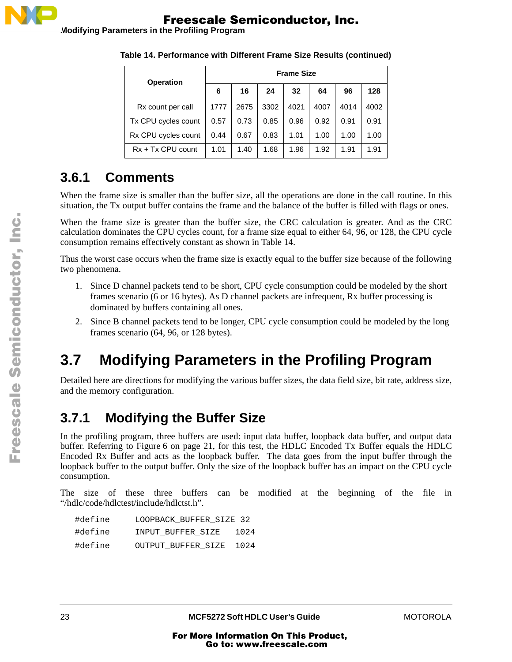| <b>Operation</b>    | <b>Frame Size</b> |      |      |      |      |      |      |
|---------------------|-------------------|------|------|------|------|------|------|
|                     | 6                 | 16   | 24   | 32   | 64   | 96   | 128  |
| Rx count per call   | 1777              | 2675 | 3302 | 4021 | 4007 | 4014 | 4002 |
| Tx CPU cycles count | 0.57              | 0.73 | 0.85 | 0.96 | 0.92 | 0.91 | 0.91 |
| Rx CPU cycles count | 0.44              | 0.67 | 0.83 | 1.01 | 1.00 | 1.00 | 1.00 |
| $Rx + Tx$ CPU count | 1.01              | 1.40 | 1.68 | 1.96 | 1.92 | 1.91 | 1.91 |

**Table 14. Performance with Different Frame Size Results (continued)**

### **3.6.1 Comments**

When the frame size is smaller than the buffer size, all the operations are done in the call routine. In this situation, the Tx output buffer contains the frame and the balance of the buffer is filled with flags or ones.

When the frame size is greater than the buffer size, the CRC calculation is greater. And as the CRC calculation dominates the CPU cycles count, for a frame size equal to either 64, 96, or 128, the CPU cycle consumption remains effectively constant as shown in [Table 14.](#page-21-2)

Thus the worst case occurs when the frame size is exactly equal to the buffer size because of the following two phenomena.

- 1. Since D channel packets tend to be short, CPU cycle consumption could be modeled by the short frames scenario (6 or 16 bytes). As D channel packets are infrequent, Rx buffer processing is dominated by buffers containing all ones.
- 2. Since B channel packets tend to be longer, CPU cycle consumption could be modeled by the long frames scenario (64, 96, or 128 bytes).

## <span id="page-22-0"></span>**3.7 Modifying Parameters in the Profiling Program**

Detailed here are directions for modifying the various buffer sizes, the data field size, bit rate, address size, and the memory configuration.

### **3.7.1 Modifying the Buffer Size**

In the profiling program, three buffers are used: input data buffer, loopback data buffer, and output data buffer. Referring to [Figure 6 on page 21](#page-20-1), for this test, the HDLC Encoded Tx Buffer equals the HDLC Encoded Rx Buffer and acts as the loopback buffer. The data goes from the input buffer through the loopback buffer to the output buffer. Only the size of the loopback buffer has an impact on the CPU cycle consumption.

The size of these three buffers can be modified at the beginning of the file in "/hdlc/code/hdlctest/include/hdlctst.h".

| #define | LOOPBACK BUFFER SIZE 32 |      |
|---------|-------------------------|------|
| #define | INPUT BUFFER SIZE       | 1024 |
| #define | OUTPUT BUFFER SIZE      | 1024 |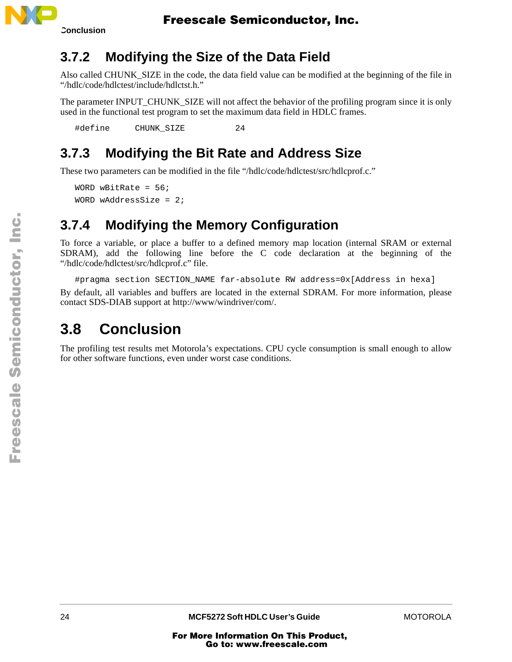

### **3.7.2 Modifying the Size of the Data Field**

Also called CHUNK\_SIZE in the code, the data field value can be modified at the beginning of the file in "/hdlc/code/hdlctest/include/hdlctst.h."

The parameter INPUT\_CHUNK\_SIZE will not affect the behavior of the profiling program since it is only used in the functional test program to set the maximum data field in HDLC frames.

```
#define CHUNK_SIZE 24
```
### **3.7.3 Modifying the Bit Rate and Address Size**

These two parameters can be modified in the file "/hdlc/code/hdlctest/src/hdlcprof.c."

```
WORD wBitRate = 56;
WORD wAddressSize = 2i
```
## **3.7.4 Modifying the Memory Configuration**

To force a variable, or place a buffer to a defined memory map location (internal SRAM or external SDRAM), add the following line before the C code declaration at the beginning of the "/hdlc/code/hdlctest/src/hdlcprof.c" file.

#pragma section SECTION\_NAME far-absolute RW address=0x[Address in hexa]

By default, all variables and buffers are located in the external SDRAM. For more information, please contact SDS-DIAB support at http://www/windriver/com/.

## <span id="page-23-0"></span>**3.8 Conclusion**

The profiling test results met Motorola's expectations. CPU cycle consumption is small enough to allow for other software functions, even under worst case conditions.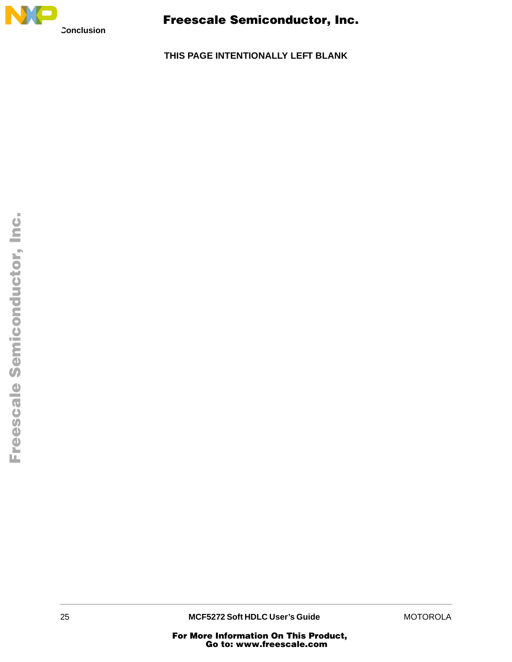

**THIS PAGE INTENTIONALLY LEFT BLANK**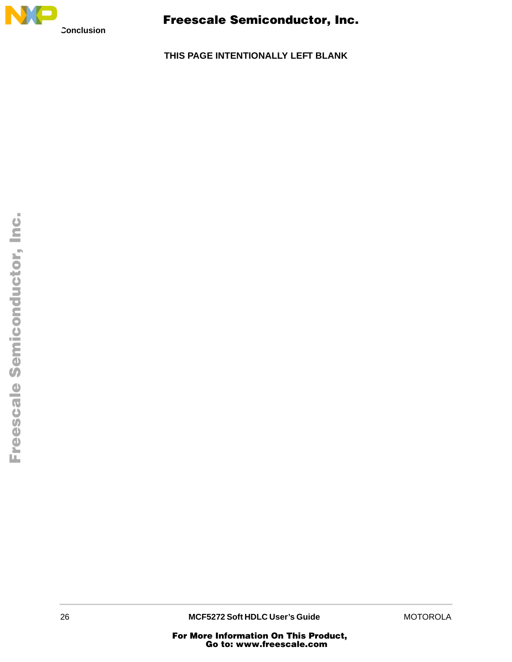

**THIS PAGE INTENTIONALLY LEFT BLANK**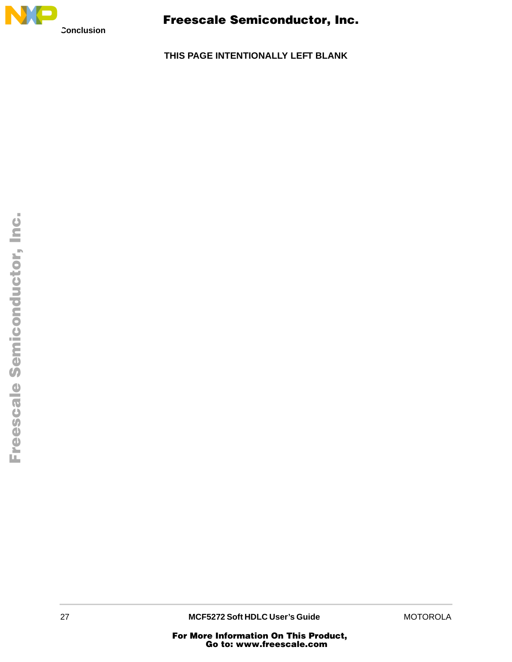

**THIS PAGE INTENTIONALLY LEFT BLANK**